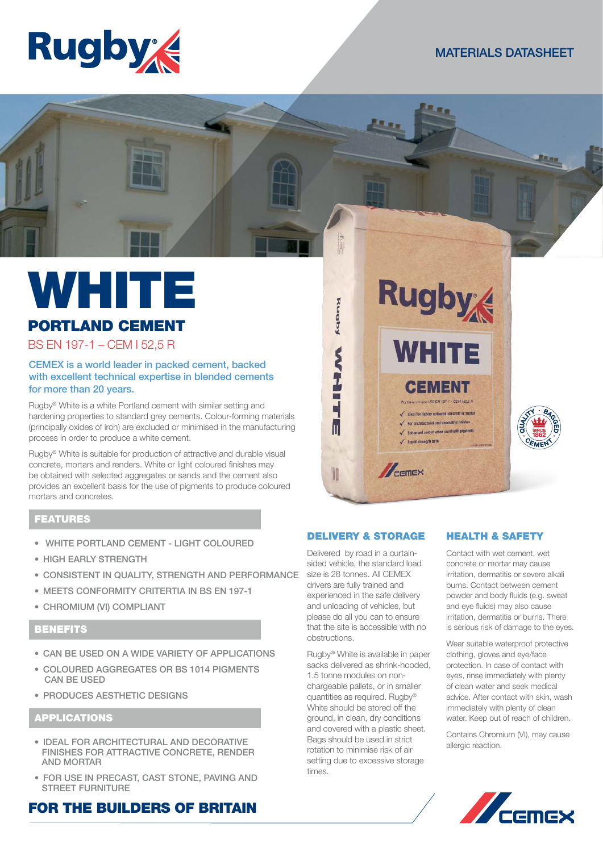

# MATERIALS DATASHEET



# PORTLAND CEMENT

BS EN 197-1 – CEM I 52,5 R

## CEMEX is a world leader in packed cement, backed with excellent technical expertise in blended cements for more than 20 years.

Rugby® White is a white Portland cement with similar setting and hardening properties to standard grey cements. Colour-forming materials (principally oxides of iron) are excluded or minimised in the manufacturing process in order to produce a white cement.

Rugby® White is suitable for production of attractive and durable visual concrete, mortars and renders. White or light coloured finishes may be obtained with selected aggregates or sands and the cement also provides an excellent basis for the use of pigments to produce coloured mortars and concretes.

# FEATURES

- WHITE PORTLAND CEMENT LIGHT COLOURED
- HIGH EARLY STRENGTH
- CONSISTENT IN QUALITY, STRENGTH AND PERFORMANCE
- MEETS CONFORMITY CRITERTIA IN BS EN 197-1
- CHROMIUM (VI) COMPLIANT

# **BENEFITS**

- CAN BE USED ON A WIDE VARIETY OF APPLICATIONS
- COLOURED AGGREGATES OR BS 1014 PIGMENTS CAN BE USED
- PRODUCES AESTHETIC DESIGNS

# APPLICATIONS

- IDEAL FOR ARCHITECTURAL AND DECORATIVE FINISHES FOR ATTRACTIVE CONCRETE, RENDER AND MORTAR
- FOR USE IN PRECAST, CAST STONE, PAVING AND STREET FURNITURE

# FOR THE BUILDERS OF BRITAIN



### DELIVERY & STORAGE

Delivered by road in a curtainsided vehicle, the standard load size is 28 tonnes. All CEMEX drivers are fully trained and experienced in the safe delivery and unloading of vehicles, but please do all you can to ensure that the site is accessible with no obstructions.

Rugby® White is available in paper sacks delivered as shrink-hooded, 1.5 tonne modules on nonchargeable pallets, or in smaller quantities as required. Rugby® White should be stored off the ground, in clean, dry conditions and covered with a plastic sheet. Bags should be used in strict rotation to minimise risk of air setting due to excessive storage times.

# HEALTH & SAFETY

Contact with wet cement, wet concrete or mortar may cause irritation, dermatitis or severe alkali burns. Contact between cement powder and body fluids (e.g. sweat and eye fluids) may also cause irritation, dermatitis or burns. There is serious risk of damage to the eyes.

Wear suitable waterproof protective clothing, gloves and eye/face protection. In case of contact with eyes, rinse immediately with plenty of clean water and seek medical advice. After contact with skin, wash immediately with plenty of clean water. Keep out of reach of children.

Contains Chromium (VI), may cause allergic reaction.